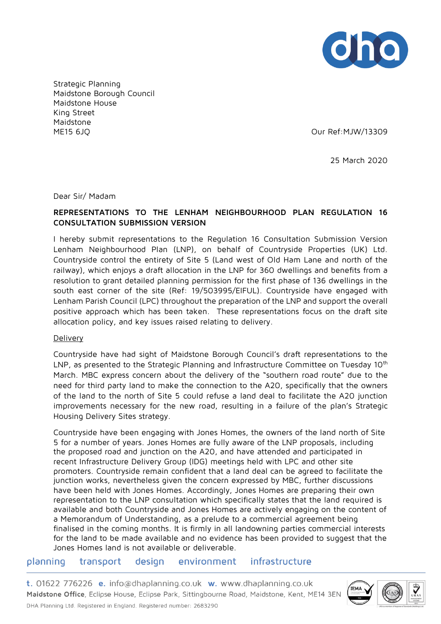

Strategic Planning Maidstone Borough Council Maidstone House King Street Maidstone ME15 6JQ Our Ref:MJW/13309

25 March 2020

Dear Sir/ Madam

# **REPRESENTATIONS TO THE LENHAM NEIGHBOURHOOD PLAN REGULATION 16 CONSULTATION SUBMISSION VERSION**

I hereby submit representations to the Regulation 16 Consultation Submission Version Lenham Neighbourhood Plan (LNP), on behalf of Countryside Properties (UK) Ltd. Countryside control the entirety of Site 5 (Land west of Old Ham Lane and north of the railway), which enjoys a draft allocation in the LNP for 360 dwellings and benefits from a resolution to grant detailed planning permission for the first phase of 136 dwellings in the south east corner of the site (Ref: 19/503995/EIFUL). Countryside have engaged with Lenham Parish Council (LPC) throughout the preparation of the LNP and support the overall positive approach which has been taken. These representations focus on the draft site allocation policy, and key issues raised relating to delivery.

### **Delivery**

Countryside have had sight of Maidstone Borough Council's draft representations to the LNP, as presented to the Strategic Planning and Infrastructure Committee on Tuesday 10<sup>th</sup> March. MBC express concern about the delivery of the "southern road route" due to the need for third party land to make the connection to the A20, specifically that the owners of the land to the north of Site 5 could refuse a land deal to facilitate the A20 junction improvements necessary for the new road, resulting in a failure of the plan's Strategic Housing Delivery Sites strategy.

Countryside have been engaging with Jones Homes, the owners of the land north of Site 5 for a number of years. Jones Homes are fully aware of the LNP proposals, including the proposed road and junction on the A20, and have attended and participated in recent Infrastructure Delivery Group (IDG) meetings held with LPC and other site promoters. Countryside remain confident that a land deal can be agreed to facilitate the junction works, nevertheless given the concern expressed by MBC, further discussions have been held with Jones Homes. Accordingly, Jones Homes are preparing their own representation to the LNP consultation which specifically states that the land required is available and both Countryside and Jones Homes are actively engaging on the content of a Memorandum of Understanding, as a prelude to a commercial agreement being finalised in the coming months. It is firmly in all landowning parties commercial interests for the land to be made available and no evidence has been provided to suggest that the Jones Homes land is not available or deliverable.

planning transport design environment infrastructure

t. 01622 776226 e. info@dhaplanning.co.uk w. www.dhaplanning.co.uk Maidstone Office, Eclipse House, Eclipse Park, Sittingbourne Road, Maidstone, Kent, ME14 3EN DHA Planning Ltd. Registered in England. Registered number: 2683290

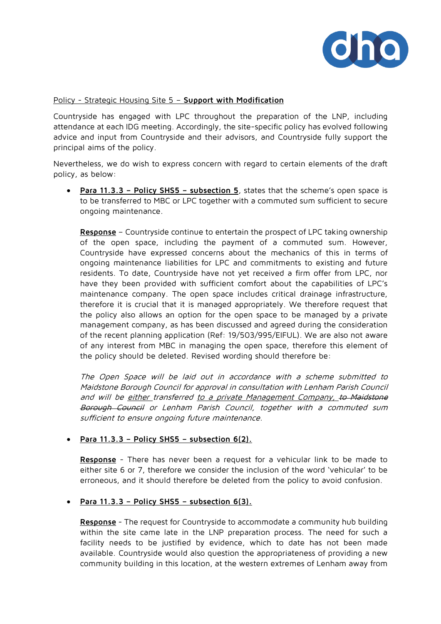

### Policy - Strategic Housing Site 5 – **Support with Modification**

Countryside has engaged with LPC throughout the preparation of the LNP, including attendance at each IDG meeting. Accordingly, the site-specific policy has evolved following advice and input from Countryside and their advisors, and Countryside fully support the principal aims of the policy.

Nevertheless, we do wish to express concern with regard to certain elements of the draft policy, as below:

• **Para 11.3.3 – Policy SHS5 – subsection 5**, states that the scheme's open space is to be transferred to MBC or LPC together with a commuted sum sufficient to secure ongoing maintenance.

**Response** – Countryside continue to entertain the prospect of LPC taking ownership of the open space, including the payment of a commuted sum. However, Countryside have expressed concerns about the mechanics of this in terms of ongoing maintenance liabilities for LPC and commitments to existing and future residents. To date, Countryside have not yet received a firm offer from LPC, nor have they been provided with sufficient comfort about the capabilities of LPC's maintenance company. The open space includes critical drainage infrastructure, therefore it is crucial that it is managed appropriately. We therefore request that the policy also allows an option for the open space to be managed by a private management company, as has been discussed and agreed during the consideration of the recent planning application (Ref: 19/503/995/EIFUL). We are also not aware of any interest from MBC in managing the open space, therefore this element of the policy should be deleted. Revised wording should therefore be:

The Open Space will be laid out in accordance with a scheme submitted to Maidstone Borough Council for approval in consultation with Lenham Parish Council and will be either transferred to a private Management Company, to Maidstone Borough Council or Lenham Parish Council, together with a commuted sum sufficient to ensure ongoing future maintenance.

## • **Para 11.3.3 – Policy SHS5 – subsection 6(2).**

**Response** - There has never been a request for a vehicular link to be made to either site 6 or 7, therefore we consider the inclusion of the word 'vehicular' to be erroneous, and it should therefore be deleted from the policy to avoid confusion.

### • **Para 11.3.3 – Policy SHS5 – subsection 6(3).**

**Response** - The request for Countryside to accommodate a community hub building within the site came late in the LNP preparation process. The need for such a facility needs to be justified by evidence, which to date has not been made available. Countryside would also question the appropriateness of providing a new community building in this location, at the western extremes of Lenham away from